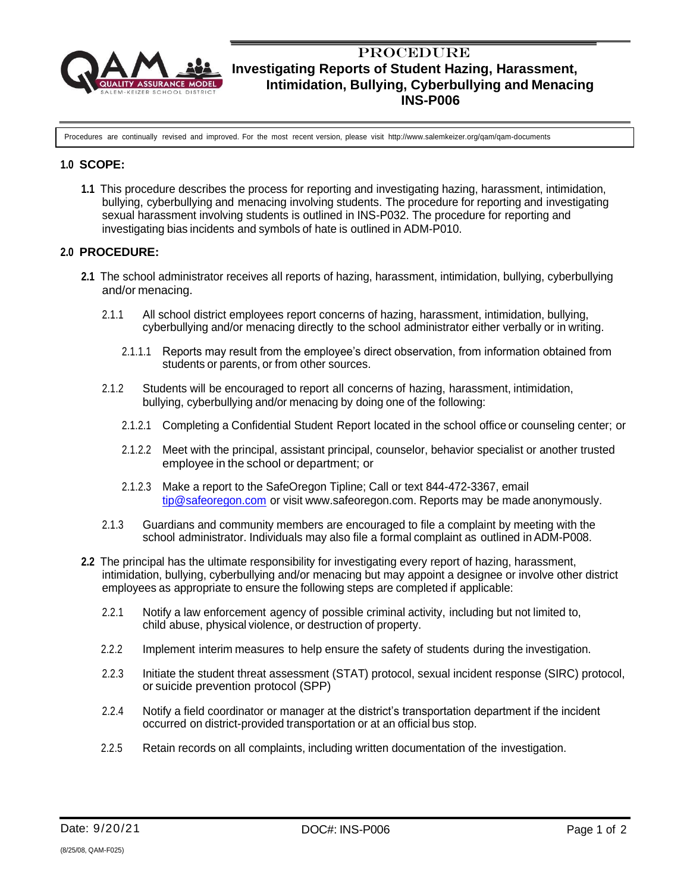

# **PROCEDURE Investigating Reports of Student Hazing, Harassment, Intimidation, Bullying, Cyberbullying and Menacing INS-P006**

Procedures are continually revised and improved. For the most recent version, please visit <http://www.salemkeizer.org/qam/qam-documents>

### **1.0 SCOPE:**

**1.1** This procedure describes the process for reporting and investigating hazing, harassment, intimidation, bullying, cyberbullying and menacing involving students. The procedure for reporting and investigating sexual harassment involving students is outlined in INS-P032. The procedure for reporting and investigating bias incidents and symbols of hate is outlined in ADM-P010.

### **2.0 PROCEDURE:**

- **2.1** The school administrator receives all reports of hazing, harassment, intimidation, bullying, cyberbullying and/or menacing.
	- 2.1.1 All school district employees report concerns of hazing, harassment, intimidation, bullying, cyberbullying and/or menacing directly to the school administrator either verbally or in writing.
		- 2.1.1.1 Reports may result from the employee's direct observation, from information obtained from students or parents, or from other sources.
	- 2.1.2 Students will be encouraged to report all concerns of hazing, harassment, intimidation, bullying, cyberbullying and/or menacing by doing one of the following:
		- 2.1.2.1 Completing a Confidential Student Report located in the school office or counseling center; or
		- 2.1.2.2 Meet with the principal, assistant principal, counselor, behavior specialist or another trusted employee in the school or department; or
		- 2.1.2.3 Make a report to the SafeOregon Tipline; Call or text 844-472-3367, email [tip@safeoregon.com](mailto:tip@safeoregon.com) or visit [www.safeoregon.com.](http://www.safeoregon.com/) Reports may be made anonymously.
	- 2.1.3 Guardians and community members are encouraged to file a complaint by meeting with the school administrator. Individuals may also file a formal complaint as outlined in ADM-P008.
- **2.2** The principal has the ultimate responsibility for investigating every report of hazing, harassment, intimidation, bullying, cyberbullying and/or menacing but may appoint a designee or involve other district employees as appropriate to ensure the following steps are completed if applicable:
	- 2.2.1 Notify a law enforcement agency of possible criminal activity, including but not limited to, child abuse, physical violence, or destruction of property.
	- 2.2.2 Implement interim measures to help ensure the safety of students during the investigation.
	- 2.2.3 Initiate the student threat assessment (STAT) protocol, sexual incident response (SIRC) protocol, or suicide prevention protocol (SPP)
	- 2.2.4 Notify a field coordinator or manager at the district's transportation department if the incident occurred on district-provided transportation or at an official bus stop.
	- 2.2.5 Retain records on all complaints, including written documentation of the investigation.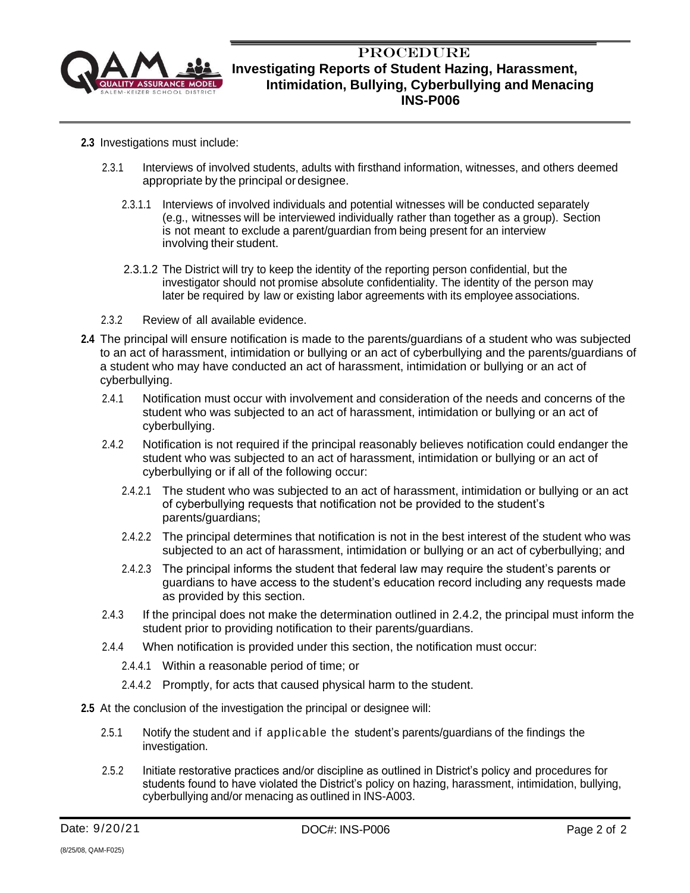

# **PROCEDURE Investigating Reports of Student Hazing, Harassment, Intimidation, Bullying, Cyberbullying and Menacing INS-P006**

- **2.3** Investigations must include:
	- 2.3.1 Interviews of involved students, adults with firsthand information, witnesses, and others deemed appropriate by the principal or designee.
		- 2.3.1.1 Interviews of involved individuals and potential witnesses will be conducted separately (e.g., witnesses will be interviewed individually rather than together as a group). Section is not meant to exclude a parent/guardian from being present for an interview involving their student.
		- 2.3.1.2 The District will try to keep the identity of the reporting person confidential, but the investigator should not promise absolute confidentiality. The identity of the person may later be required by law or existing labor agreements with its employee associations.
	- 2.3.2 Review of all available evidence.
- **2.4** The principal will ensure notification is made to the parents/guardians of a student who was subjected to an act of harassment, intimidation or bullying or an act of cyberbullying and the parents/guardians of a student who may have conducted an act of harassment, intimidation or bullying or an act of cyberbullying.
	- 2.4.1 Notification must occur with involvement and consideration of the needs and concerns of the student who was subjected to an act of harassment, intimidation or bullying or an act of cyberbullying.
	- 2.4.2 Notification is not required if the principal reasonably believes notification could endanger the student who was subjected to an act of harassment, intimidation or bullying or an act of cyberbullying or if all of the following occur:
		- 2.4.2.1 The student who was subjected to an act of harassment, intimidation or bullying or an act of cyberbullying requests that notification not be provided to the student's parents/guardians;
		- 2.4.2.2 The principal determines that notification is not in the best interest of the student who was subjected to an act of harassment, intimidation or bullying or an act of cyberbullying; and
		- 2.4.2.3 The principal informs the student that federal law may require the student's parents or guardians to have access to the student's education record including any requests made as provided by this section.
	- 2.4.3 If the principal does not make the determination outlined in 2.4.2, the principal must inform the student prior to providing notification to their parents/guardians.
	- 2.4.4 When notification is provided under this section, the notification must occur:
		- 2.4.4.1 Within a reasonable period of time; or
		- 2.4.4.2 Promptly, for acts that caused physical harm to the student.
- **2.5** At the conclusion of the investigation the principal or designee will:
	- 2.5.1 Notify the student and if applicable the student's parents/guardians of the findings the investigation.
	- 2.5.2 Initiate restorative practices and/or discipline as outlined in District's policy and procedures for students found to have violated the District's policy on hazing, harassment, intimidation, bullying, cyberbullying and/or menacing as outlined in INS-A003.

(8/25/08, QAM-F025)